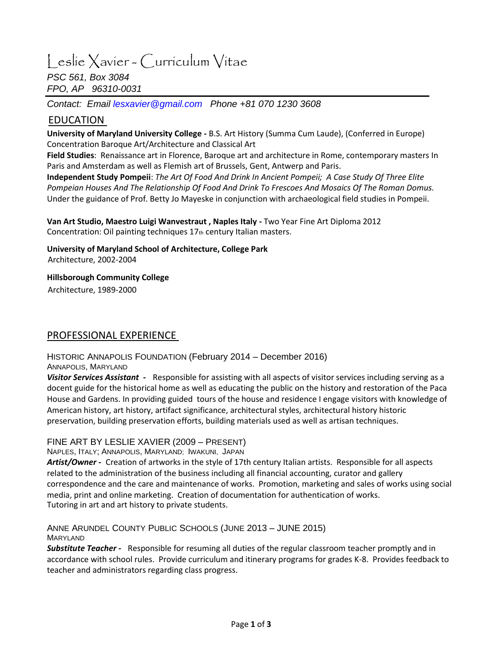# Leslie Xavier - Curriculum Vitae

*PSC 561, Box 3084 FPO, AP 96310-0031*

*Contact: Email [lesxavier@gmail.com](mailto:lesxavier@gmail.com) Phone +81 070 1230 3608*

# EDUCATION

**University of Maryland University College -** B.S. Art History (Summa Cum Laude), (Conferred in Europe) Concentration Baroque Art/Architecture and Classical Art

**Field Studies**: Renaissance art in Florence, Baroque art and architecture in Rome, contemporary masters In Paris and Amsterdam as well as Flemish art of Brussels, Gent, Antwerp and Paris.

**Independent Study Pompeii**: *The Art Of Food And Drink In Ancient Pompeii; A Case Study Of Three Elite Pompeian Houses And The Relationship Of Food And Drink To Frescoes And Mosaics Of The Roman Domus.*  Under the guidance of Prof. Betty Jo Mayeske in conjunction with archaeological field studies in Pompeii.

Concentration: Oil painting techniques 17th century Italian masters. **Van Art Studio, Maestro Luigi Wanvestraut , Naples Italy -** Two Year Fine Art Diploma 2012

**University of Maryland School of Architecture, College Park**  Architecture, 2002-2004

**Hillsborough Community College** 

Architecture, 1989-2000

## PROFESSIONAL EXPERIENCE

HISTORIC ANNAPOLIS FOUNDATION (February 2014 – December 2016) ANNAPOLIS, MARYLAND

*Visitor Services Assistant -* Responsible for assisting with all aspects of visitor services including serving as a docent guide for the historical home as well as educating the public on the history and restoration of the Paca House and Gardens. In providing guided tours of the house and residence I engage visitors with knowledge of American history, art history, artifact significance, architectural styles, architectural history historic preservation, building preservation efforts, building materials used as well as artisan techniques.

#### FINE ART BY LESLIE XAVIER (2009 – PRESENT)

NAPLES, ITALY; ANNAPOLIS, MARYLAND; IWAKUNI, JAPAN

*Artist/Owner -* Creation of artworks in the style of 17th century Italian artists. Responsible for all aspects related to the administration of the business including all financial accounting, curator and gallery correspondence and the care and maintenance of works. Promotion, marketing and sales of works using social media, print and online marketing. Creation of documentation for authentication of works. Tutoring in art and art history to private students.

ANNE ARUNDEL COUNTY PUBLIC SCHOOLS (JUNE 2013 – JUNE 2015) MARYLAND

*Substitute Teacher -* Responsible for resuming all duties of the regular classroom teacher promptly and in accordance with school rules. Provide curriculum and itinerary programs for grades K-8. Provides feedback to teacher and administrators regarding class progress.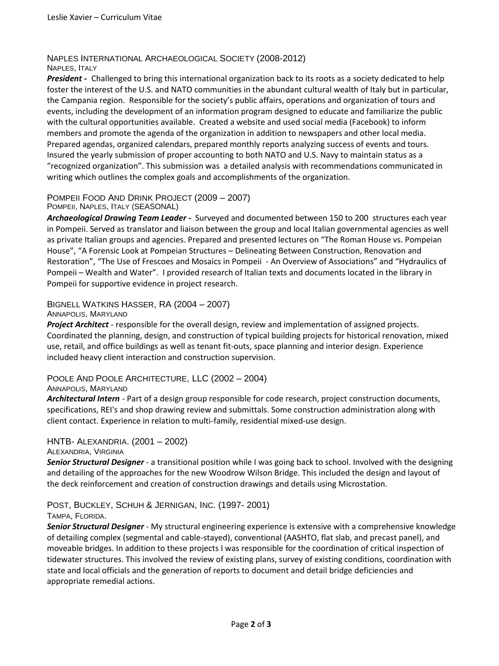#### NAPLES INTERNATIONAL ARCHAEOLOGICAL SOCIETY (2008-2012) NAPLES, ITALY

*President -* Challenged to bring this international organization back to its roots as a society dedicated to help foster the interest of the U.S. and NATO communities in the abundant cultural wealth of Italy but in particular, the Campania region. Responsible for the society's public affairs, operations and organization of tours and events, including the development of an information program designed to educate and familiarize the public with the cultural opportunities available. Created a website and used social media (Facebook) to inform members and promote the agenda of the organization in addition to newspapers and other local media. Prepared agendas, organized calendars, prepared monthly reports analyzing success of events and tours. Insured the yearly submission of proper accounting to both NATO and U.S. Navy to maintain status as a "recognized organization". This submission was a detailed analysis with recommendations communicated in writing which outlines the complex goals and accomplishments of the organization.

#### POMPEII FOOD AND DRINK PROJECT (2009 – 2007) POMPEII, NAPLES, ITALY (SEASONAL)

*Archaeological Drawing Team Leader -* Surveyed and documented between 150 to 200 structures each year in Pompeii. Served as translator and liaison between the group and local Italian governmental agencies as well as private Italian groups and agencies. Prepared and presented lectures on "The Roman House vs. Pompeian House", "A Forensic Look at Pompeian Structures – Delineating Between Construction, Renovation and Restoration", "The Use of Frescoes and Mosaics in Pompeii - An Overview of Associations" and "Hydraulics of Pompeii – Wealth and Water". I provided research of Italian texts and documents located in the library in Pompeii for supportive evidence in project research.

#### BIGNELL WATKINS HASSER, RA (2004 – 2007) ANNAPOLIS, MARYLAND

*Project Architect -* responsible for the overall design, review and implementation of assigned projects. Coordinated the planning, design, and construction of typical building projects for historical renovation, mixed use, retail, and office buildings as well as tenant fit-outs, space planning and interior design. Experience included heavy client interaction and construction supervision.

# POOLE AND POOLE ARCHITECTURE, LLC (2002 – 2004)

#### ANNAPOLIS, MARYLAND

*Architectural Intern -* Part of a design group responsible for code research, project construction documents, specifications, REI's and shop drawing review and submittals. Some construction administration along with client contact. Experience in relation to multi-family, residential mixed-use design.

#### HNTB- ALEXANDRIA. (2001 – 2002) ALEXANDRIA, VIRGINIA

*Senior Structural Designer* - a transitional position while I was going back to school. Involved with the designing and detailing of the approaches for the new Woodrow Wilson Bridge. This included the design and layout of the deck reinforcement and creation of construction drawings and details using Microstation.

## POST, BUCKLEY, SCHUH & JERNIGAN, INC. (1997- 2001)

#### TAMPA, FLORIDA.

*Senior Structural Designer* - My structural engineering experience is extensive with a comprehensive knowledge of detailing complex (segmental and cable-stayed), conventional (AASHTO, flat slab, and precast panel), and moveable bridges. In addition to these projects I was responsible for the coordination of critical inspection of tidewater structures. This involved the review of existing plans, survey of existing conditions, coordination with state and local officials and the generation of reports to document and detail bridge deficiencies and appropriate remedial actions.